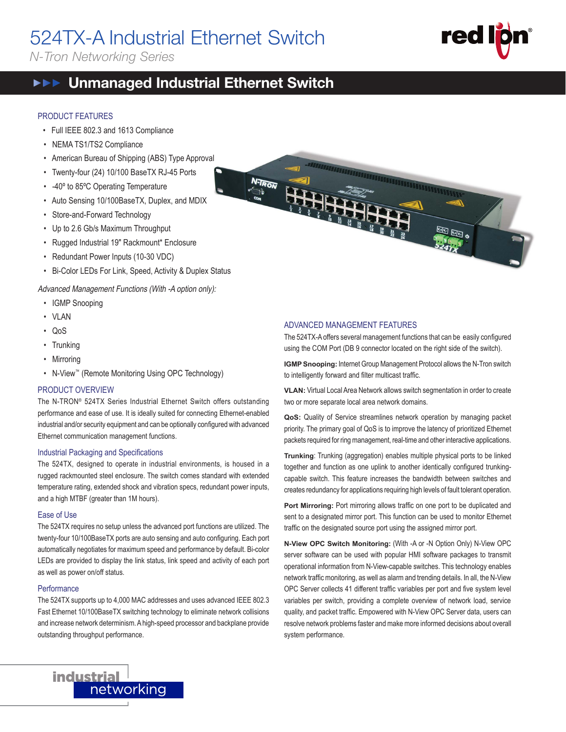# 524TX-A Industrial Ethernet Switch

*N-Tron Networking Series*



#### $\blacktriangleright$  **▶ Unmanaged Industrial Ethernet Switch EEE**

### PRODUCT FEATURES

- Full IEEE 802.3 and 1613 Compliance
- NEMA TS1/TS2 Compliance
- American Bureau of Shipping (ABS) Type Approval
- Twenty-four (24) 10/100 BaseTX RJ-45 Ports
- -40º to 85ºC Operating Temperature
- Auto Sensing 10/100BaseTX, Duplex, and MDIX
- Store-and-Forward Technology
- Up to 2.6 Gb/s Maximum Throughput
- Rugged Industrial 19" Rackmount\* Enclosure
- Redundant Power Inputs (10-30 VDC)
- Bi-Color LEDs For Link, Speed, Activity & Duplex Status

Advanced Management Functions (With -A option only):

- IGMP Snooping
- VLAN
- QoS
- Trunking
- Mirroring
- N-View<sup>™</sup> (Remote Monitoring Using OPC Technology)

#### PRODUCT OVERVIEW

The N-TRON® 524TX Series Industrial Ethernet Switch offers outstanding performance and ease of use. It is ideally suited for connecting Ethernet-enabled industrial and/or security equipment and can be optionally configured with advanced Ethernet communication management functions.

#### Industrial Packaging and Specifications

The 524TX, designed to operate in industrial environments, is housed in a rugged rackmounted steel enclosure. The switch comes standard with extended temperature rating, extended shock and vibration specs, redundant power inputs, and a high MTBF (greater than 1M hours).

#### Ease of Use

The 524TX requires no setup unless the advanced port functions are utilized. The twenty-four 10/100BaseTX ports are auto sensing and auto configuring. Each port automatically negotiates for maximum speed and performance by default. Bi-color LEDs are provided to display the link status, link speed and activity of each port as well as power on/off status.

#### **Performance**

The 524TX supports up to 4,000 MAC addresses and uses advanced IEEE 802.3 Fast Ethernet 10/100BaseTX switching technology to eliminate network collisions and increase network determinism. A high-speed processor and backplane provide outstanding throughput performance.



### ADVANCED MANAGEMENT FEATURES

The 524TX-A offers several management functions that can be easily configured using the COM Port (DB 9 connector located on the right side of the switch).

**IGMP Snooping:** Internet Group Management Protocol allows the N-Tron switch to intelligently forward and filter multicast traffic.

**VLAN:** Virtual Local Area Network allows switch segmentation in order to create two or more separate local area network domains.

**QoS:** Quality of Service streamlines network operation by managing packet priority. The primary goal of QoS is to improve the latency of prioritized Ethernet packets required for ring management, real-time and other interactive applications.

**Trunking**: Trunking (aggregation) enables multiple physical ports to be linked together and function as one uplink to another identically configured trunkingcapable switch. This feature increases the bandwidth between switches and creates redundancy for applications requiring high levels of fault tolerant operation.

Port Mirroring: Port mirroring allows traffic on one port to be duplicated and sent to a designated mirror port. This function can be used to monitor Ethernet traffic on the designated source port using the assigned mirror port.

**N-View OPC Switch Monitoring:** (With -A or -N Option Only) N-View OPC server software can be used with popular HMI software packages to transmit operational information from N-View-capable switches. This technology enables network traffic monitoring, as well as alarm and trending details. In all, the N-View OPC Server collects 41 different traffic variables per port and five system level variables per switch, providing a complete overview of network load, service quality, and packet traffic. Empowered with N-View OPC Server data, users can resolve network problems faster and make more informed decisions about overall system performance.

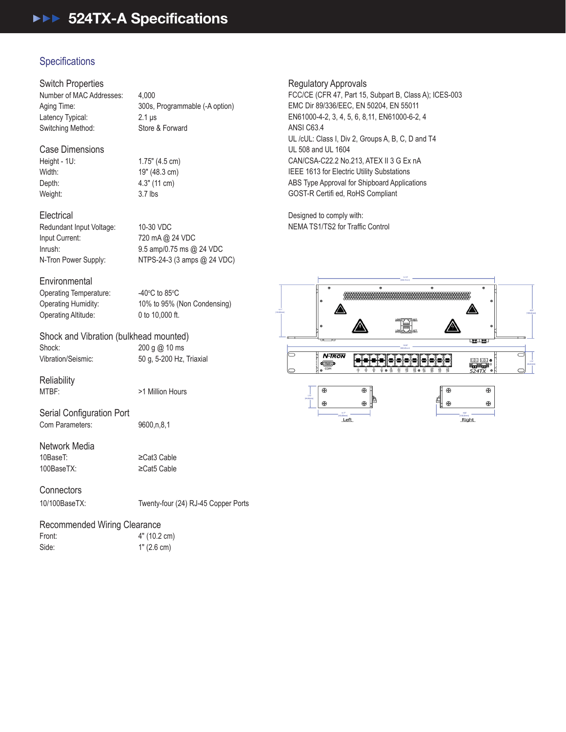## 524TX-A Specifications  $524$

## Specifications

Switch Properties

Number of MAC Addresses: 4,000 Aging Time: 300s, Programmable (-A option) Latency Typical: 2.1 μs Switching Method: Store & Forward

## Case Dimensions

Height - 1U: 1.75" (4.5 cm) Width: 19" (48.3 cm) Depth: 4.3" (11 cm) Weight: 3.7 lbs

**Electrical** Redundant Input Voltage: 10-30 VDC Input Current: 720 mA @ 24 VDC

Inrush: 9.5 amp/0.75 ms @ 24 VDC N-Tron Power Supply: NTPS-24-3 (3 amps @ 24 VDC)

#### **Environmental**

Operating Temperature: Operating Altitude: 0 to 10,000 ft.

 $C$  to 85 $\rm ^{o}C$ Operating Humidity: 10% to 95% (Non Condensing)

## Shock and Vibration (bulkhead mounted) Shock: 200 g @ 10 ms

Vibration/Seismic: 50 g, 5-200 Hz, Triaxial

## Reliability<br>MTBF:

Serial Configuration Port Com Parameters: 9600,n,8,1

## Network Media<br>10BaseT

100BaseTX: ≥Cat5 Cable

≥Cat3 Cable

>1 Million Hours

## **Connectors**

10/100BaseTX: Twenty-four (24) RJ-45 Copper Ports

## Recommended Wiring Clearance

Front: 4" (10.2 cm) Side: 1" (2.6 cm)

### Regulatory Approvals

FCC/CE (CFR 47, Part 15, Subpart B, Class A); ICES-003 EMC Dir 89/336/EEC, EN 50204, EN 55011 EN61000-4-2, 3, 4, 5, 6, 8,11, EN61000-6-2, 4 ANSI C63.4 UL /cUL: Class I, Div 2, Groups A, B, C, D and T4 UL 508 and UL 1604 CAN/CSA-C22.2 No.213, ATEX II 3 G Ex nA IEEE 1613 for Electric Utility Substations ABS Type Approval for Shipboard Applications GOST-R Certifi ed, RoHS Compliant

Designed to comply with: NEMA TS1/TS2 for Traffic Control